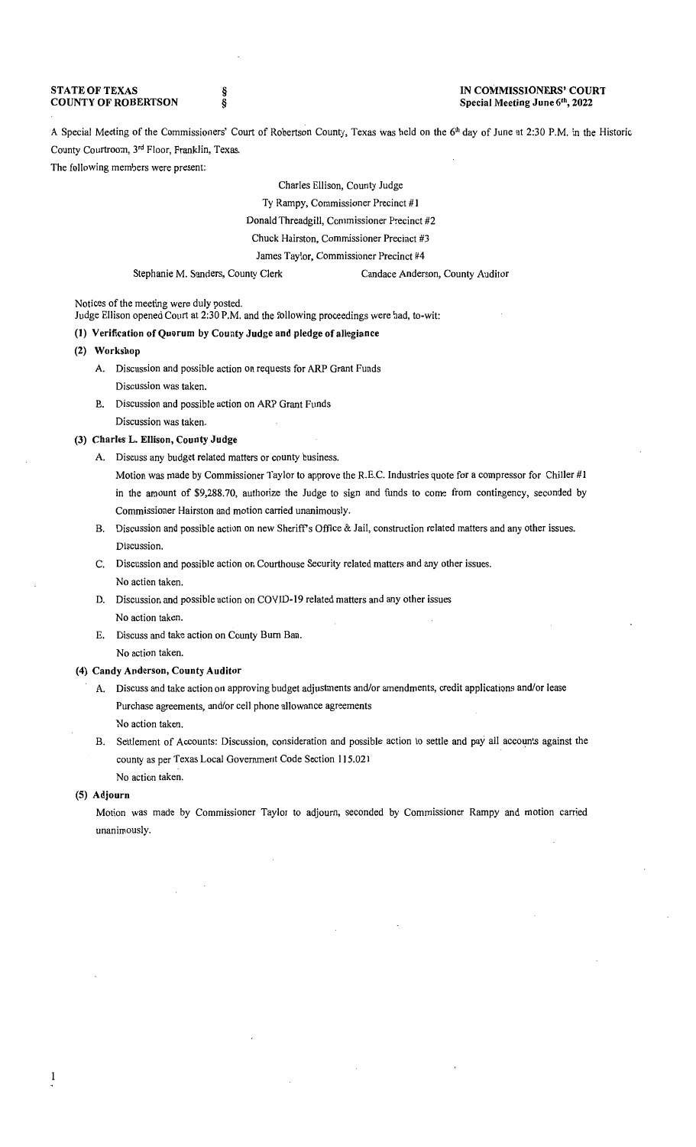## **STATE OF TEXAS COUNTY OF ROBERTSON**

§ §

#### **IN COMMISSIONERS' COURT Special Meeting June** 61 h, **2022**

A Special Meeting of the Commissioners' Court of Robertson County, Texas was held on the 6<sup>th</sup> day of June at 2:30 P.M. in the Historic County Courtroom, 3rd Floor, Franklin, Texas.

The following members were present:

Charles Ellison, County Judge Ty Rampy, Commissioner Precinct **#1**  Donald Threadgill, Commissioner Precinct #2 Chuck Hairston, Commissioner Precinct #3 James Taylor, Commissioner Precinct #4

Stephanie M. Sanders, County Clerk Candace Anderson, County Auditor

Notices of the meeting were duly posted.

Judge Ellison opened Court at 2:30 P.M. and the following proceedings were had, to-wit:

### **(1) Verification of Quorum by County Judge and pledge of allegiance**

- **(2) Workshop** 
	- A. Discussion and possible action on requests for ARP Grant Funds Discussion was taken.
	- B. Discussion and possible action on ARP Grant Funds Discussion was taken.

### (3) **Charles L. Ellison, County Judge**

- A. Discuss any budget related matters or county business.
	- Motion was made by Commissioner Taylor to approve the R.E.C. Industries quote for a compressor for Chiller #1 in the amount of \$9,288.70, authorize the Judge to sign and funds to come from contingency, seconded by Commissioner Hairston and motion carried unanimously.
- B. Discussion and possible action on new Sheriffs Office & Jail, construction related matters and any other issues. Discussion.
- C. Discussion and possible action on Courthouse Security related matters and any other issues. No action taken.
- D. Discussion and possible action on COVID-19 related matters and any other issues No action taken.
- E. Discuss and take action on County Bum Ban. No action taken.

# **(4) Candy Anderson, County Auditor**

- A. Discuss and take action on approving budget adjustments and/or amendments, credit applications and/or lease Purchase agreements, and/or cell phone allowance agreements No action taken.
- B. Settlement of Accounts: Discussion, consideration and possible action to settle and pay all accounts against the county as per Texas Local Government Code Section 115.021 No action taken.

#### **(5) Adjourn**

Motion was made by Commissioner Taylor to adjourn; seconded by Commissioner Rampy and motion carried unanimously.